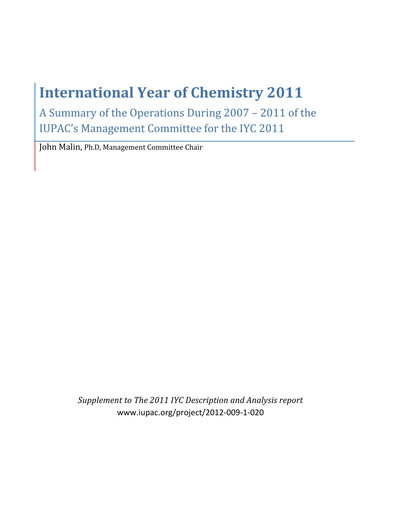# **International Year of Chemistry 2011**

A Summary of the Operations During 2007 - 2011 of the **IUPAC's Management Committee for the IYC 2011** 

John Malin, Ph.D, Management Committee Chair

Supplement to The 2011 IYC Description and Analysis report www.iupac.org/project/2012-009-1-020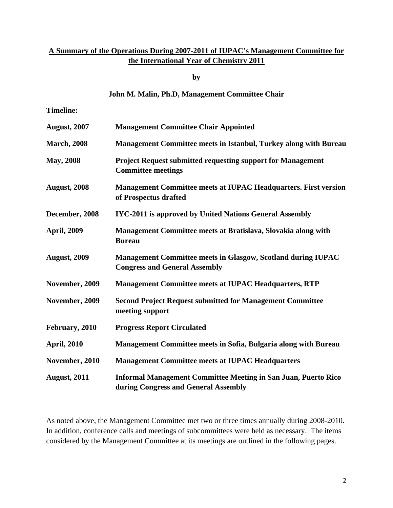# **A Summary of the Operations During 2007-2011 of IUPAC's Management Committee for the International Year of Chemistry 2011**

**by** 

#### **John M. Malin, Ph.D, Management Committee Chair**

**Timeline:** 

| <b>August, 2007</b> | <b>Management Committee Chair Appointed</b>                                                                   |
|---------------------|---------------------------------------------------------------------------------------------------------------|
| <b>March</b> , 2008 | Management Committee meets in Istanbul, Turkey along with Bureau                                              |
| <b>May, 2008</b>    | <b>Project Request submitted requesting support for Management</b><br><b>Committee meetings</b>               |
| <b>August, 2008</b> | <b>Management Committee meets at IUPAC Headquarters. First version</b><br>of Prospectus drafted               |
| December, 2008      | <b>IYC-2011 is approved by United Nations General Assembly</b>                                                |
| <b>April, 2009</b>  | Management Committee meets at Bratislava, Slovakia along with<br><b>Bureau</b>                                |
| <b>August, 2009</b> | <b>Management Committee meets in Glasgow, Scotland during IUPAC</b><br><b>Congress and General Assembly</b>   |
| November, 2009      | <b>Management Committee meets at IUPAC Headquarters, RTP</b>                                                  |
| November, 2009      | <b>Second Project Request submitted for Management Committee</b><br>meeting support                           |
| February, 2010      | <b>Progress Report Circulated</b>                                                                             |
| <b>April, 2010</b>  | Management Committee meets in Sofia, Bulgaria along with Bureau                                               |
| November, 2010      | <b>Management Committee meets at IUPAC Headquarters</b>                                                       |
| <b>August, 2011</b> | <b>Informal Management Committee Meeting in San Juan, Puerto Rico</b><br>during Congress and General Assembly |

As noted above, the Management Committee met two or three times annually during 2008-2010. In addition, conference calls and meetings of subcommittees were held as necessary. The items considered by the Management Committee at its meetings are outlined in the following pages.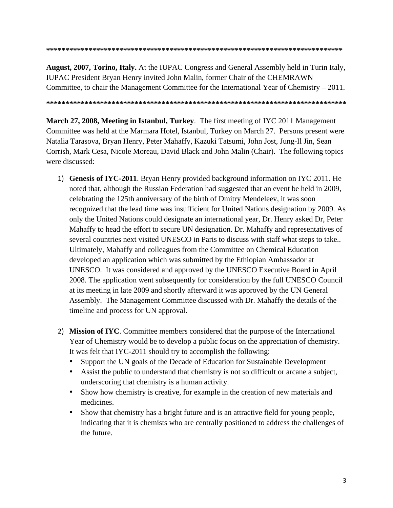#### **\*\*\*\*\*\*\*\*\*\*\*\*\*\*\*\*\*\*\*\*\*\*\*\*\*\*\*\*\*\*\*\*\*\*\*\*\*\*\*\*\*\*\*\*\*\*\*\*\*\*\*\*\*\*\*\*\*\*\*\*\*\*\*\*\*\*\*\*\*\*\*\*\*\*\*\*\***

**August, 2007, Torino, Italy.** At the IUPAC Congress and General Assembly held in Turin Italy, IUPAC President Bryan Henry invited John Malin, former Chair of the CHEMRAWN Committee, to chair the Management Committee for the International Year of Chemistry – 2011.

**\*\*\*\*\*\*\*\*\*\*\*\*\*\*\*\*\*\*\*\*\*\*\*\*\*\*\*\*\*\*\*\*\*\*\*\*\*\*\*\*\*\*\*\*\*\*\*\*\*\*\*\*\*\*\*\*\*\*\*\*\*\*\*\*\*\*\*\*\*\*\*\*\*\*\*\*\*\*** 

**March 27, 2008, Meeting in Istanbul, Turkey**. The first meeting of IYC 2011 Management Committee was held at the Marmara Hotel, Istanbul, Turkey on March 27. Persons present were Natalia Tarasova, Bryan Henry, Peter Mahaffy, Kazuki Tatsumi, John Jost, Jung-Il Jin, Sean Corrish, Mark Cesa, Nicole Moreau, David Black and John Malin (Chair). The following topics were discussed:

- 1) Genesis of IYC-2011. Bryan Henry provided background information on IYC 2011. He noted that, although the Russian Federation had suggested that an event be held in 2009, celebrating the 125th anniversary of the birth of Dmitry Mendeleev, it was soon recognized that the lead time was insufficient for United Nations designation by 2009. As only the United Nations could designate an international year, Dr. Henry asked Dr, Peter Mahaffy to head the effort to secure UN designation. Dr. Mahaffy and representatives of several countries next visited UNESCO in Paris to discuss with staff what steps to take.. Ultimately, Mahaffy and colleagues from the Committee on Chemical Education developed an application which was submitted by the Ethiopian Ambassador at UNESCO. It was considered and approved by the UNESCO Executive Board in April 2008. The application went subsequently for consideration by the full UNESCO Council at its meeting in late 2009 and shortly afterward it was approved by the UN General Assembly. The Management Committee discussed with Dr. Mahaffy the details of the timeline and process for UN approval.
- 2) Mission of IYC. Committee members considered that the purpose of the International Year of Chemistry would be to develop a public focus on the appreciation of chemistry. It was felt that IYC-2011 should try to accomplish the following:
	- Support the UN goals of the Decade of Education for Sustainable Development
	- Assist the public to understand that chemistry is not so difficult or arcane a subject, underscoring that chemistry is a human activity.
	- Show how chemistry is creative, for example in the creation of new materials and medicines.
	- Show that chemistry has a bright future and is an attractive field for young people, indicating that it is chemists who are centrally positioned to address the challenges of the future.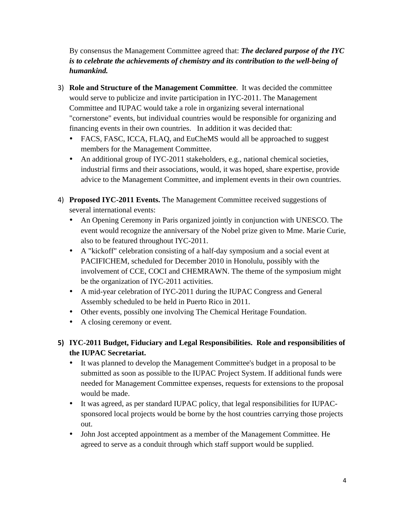By consensus the Management Committee agreed that: *The declared purpose of the IYC is to celebrate the achievements of chemistry and its contribution to the well-being of humankind.*

- **Role and Structure of the Management Committee**. It was decided the committee would serve to publicize and invite participation in IYC-2011. The Management Committee and IUPAC would take a role in organizing several international "cornerstone" events, but individual countries would be responsible for organizing and financing events in their own countries. In addition it was decided that:
	- FACS, FASC, ICCA, FLAQ, and EuCheMS would all be approached to suggest members for the Management Committee.
	- An additional group of IYC-2011 stakeholders, e.g., national chemical societies, industrial firms and their associations, would, it was hoped, share expertise, provide advice to the Management Committee, and implement events in their own countries.
- 4) Proposed IYC-2011 Events. The Management Committee received suggestions of several international events:
	- An Opening Ceremony in Paris organized jointly in conjunction with UNESCO. The event would recognize the anniversary of the Nobel prize given to Mme. Marie Curie, also to be featured throughout IYC-2011.
	- A "kickoff" celebration consisting of a half-day symposium and a social event at PACIFICHEM, scheduled for December 2010 in Honolulu, possibly with the involvement of CCE, COCI and CHEMRAWN. The theme of the symposium might be the organization of IYC-2011 activities.
	- A mid-year celebration of IYC-2011 during the IUPAC Congress and General Assembly scheduled to be held in Puerto Rico in 2011.
	- Other events, possibly one involving The Chemical Heritage Foundation.
	- A closing ceremony or event.
- **- IYC-2011 Budget, Fiduciary and Legal Responsibilities. Role and responsibilities of the IUPAC Secretariat.** 
	- It was planned to develop the Management Committee's budget in a proposal to be submitted as soon as possible to the IUPAC Project System. If additional funds were needed for Management Committee expenses, requests for extensions to the proposal would be made.
	- It was agreed, as per standard IUPAC policy, that legal responsibilities for IUPACsponsored local projects would be borne by the host countries carrying those projects out.
	- John Jost accepted appointment as a member of the Management Committee. He agreed to serve as a conduit through which staff support would be supplied.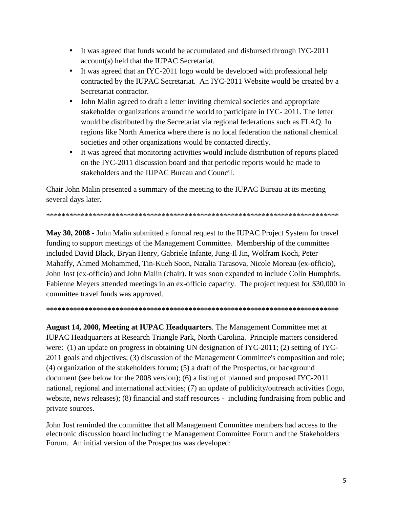- It was agreed that funds would be accumulated and disbursed through IYC-2011 account(s) held that the IUPAC Secretariat.
- It was agreed that an IYC-2011 logo would be developed with professional help contracted by the IUPAC Secretariat. An IYC-2011 Website would be created by a Secretariat contractor.
- John Malin agreed to draft a letter inviting chemical societies and appropriate stakeholder organizations around the world to participate in IYC- 2011. The letter would be distributed by the Secretariat via regional federations such as FLAQ. In regions like North America where there is no local federation the national chemical societies and other organizations would be contacted directly.
- It was agreed that monitoring activities would include distribution of reports placed on the IYC-2011 discussion board and that periodic reports would be made to stakeholders and the IUPAC Bureau and Council.

Chair John Malin presented a summary of the meeting to the IUPAC Bureau at its meeting several days later.

\*\*\*\*\*\*\*\*\*\*\*\*\*\*\*\*\*\*\*\*\*\*\*\*\*\*\*\*\*\*\*\*\*\*\*\*\*\*\*\*\*\*\*\*\*\*\*\*\*\*\*\*\*\*\*\*\*\*\*\*\*\*\*\*\*\*\*\*\*\*\*\*\*\*\*\*

**May 30, 2008** - John Malin submitted a formal request to the IUPAC Project System for travel funding to support meetings of the Management Committee. Membership of the committee included David Black, Bryan Henry, Gabriele Infante, Jung-Il Jin, Wolfram Koch, Peter Mahaffy, Ahmed Mohammed, Tin-Kueh Soon, Natalia Tarasova, Nicole Moreau (ex-officio), John Jost (ex-officio) and John Malin (chair). It was soon expanded to include Colin Humphris. Fabienne Meyers attended meetings in an ex-officio capacity. The project request for \$30,000 in committee travel funds was approved.

**\*\*\*\*\*\*\*\*\*\*\*\*\*\*\*\*\*\*\*\*\*\*\*\*\*\*\*\*\*\*\*\*\*\*\*\*\*\*\*\*\*\*\*\*\*\*\*\*\*\*\*\*\*\*\*\*\*\*\*\*\*\*\*\*\*\*\*\*\*\*\*\*\*\*\*\*** 

**August 14, 2008, Meeting at IUPAC Headquarters**. The Management Committee met at IUPAC Headquarters at Research Triangle Park, North Carolina. Principle matters considered were: (1) an update on progress in obtaining UN designation of IYC-2011; (2) setting of IYC-2011 goals and objectives; (3) discussion of the Management Committee's composition and role; (4) organization of the stakeholders forum; (5) a draft of the Prospectus, or background document (see below for the 2008 version); (6) a listing of planned and proposed IYC-2011 national, regional and international activities; (7) an update of publicity/outreach activities (logo, website, news releases); (8) financial and staff resources - including fundraising from public and private sources.

John Jost reminded the committee that all Management Committee members had access to the electronic discussion board including the Management Committee Forum and the Stakeholders Forum. An initial version of the Prospectus was developed: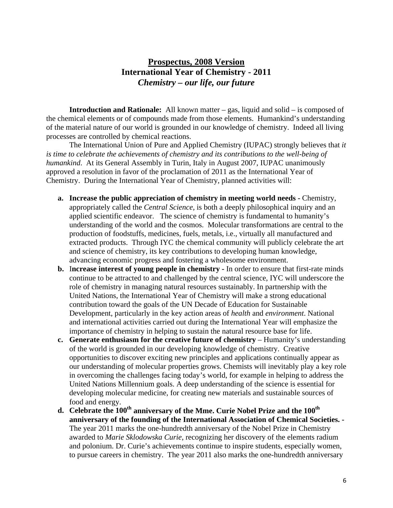# **Prospectus, 2008 Version International Year of Chemistry - 2011**  *Chemistry – our life, our future*

**Introduction and Rationale:** All known matter – gas, liquid and solid – is composed of the chemical elements or of compounds made from those elements. Humankind's understanding of the material nature of our world is grounded in our knowledge of chemistry. Indeed all living processes are controlled by chemical reactions.

The International Union of Pure and Applied Chemistry (IUPAC) strongly believes that *it is time to celebrate the achievements of chemistry and its contributions to the well-being of humankind*. At its General Assembly in Turin, Italy in August 2007, IUPAC unanimously approved a resolution in favor of the proclamation of 2011 as the International Year of Chemistry. During the International Year of Chemistry, planned activities will:

- **a. Increase the public appreciation of chemistry in meeting world needs** Chemistry, appropriately called the *Central Science,* is both a deeply philosophical inquiry and an applied scientific endeavor. The science of chemistry is fundamental to humanity's understanding of the world and the cosmos. Molecular transformations are central to the production of foodstuffs, medicines, fuels, metals, i.e., virtually all manufactured and extracted products. Through IYC the chemical community will publicly celebrate the art and science of chemistry, its key contributions to developing human knowledge, advancing economic progress and fostering a wholesome environment.
- **b.** I**ncrease interest of young people in chemistry -** In order to ensure that first-rate minds continue to be attracted to and challenged by the central science, IYC will underscore the role of chemistry in managing natural resources sustainably. In partnership with the United Nations, the International Year of Chemistry will make a strong educational contribution toward the goals of the UN Decade of Education for Sustainable Development, particularly in the key action areas of *health* and *environment*. National and international activities carried out during the International Year will emphasize the importance of chemistry in helping to sustain the natural resource base for life.
- **c. Generate enthusiasm for the creative future of chemistry** Humanity's understanding of the world is grounded in our developing knowledge of chemistry. Creative opportunities to discover exciting new principles and applications continually appear as our understanding of molecular properties grows. Chemists will inevitably play a key role in overcoming the challenges facing today's world, for example in helping to address the United Nations Millennium goals. A deep understanding of the science is essential for developing molecular medicine, for creating new materials and sustainable sources of food and energy.
- d. Celebrate the 100<sup>th</sup> anniversary of the Mme. Curie Nobel Prize and the 100<sup>th</sup> **anniversary of the founding of the International Association of Chemical Societies. -**  The year 2011 marks the one-hundredth anniversary of the Nobel Prize in Chemistry awarded to *Marie Sklodowska Curie*, recognizing her discovery of the elements radium and polonium. Dr. Curie's achievements continue to inspire students, especially women, to pursue careers in chemistry. The year 2011 also marks the one-hundredth anniversary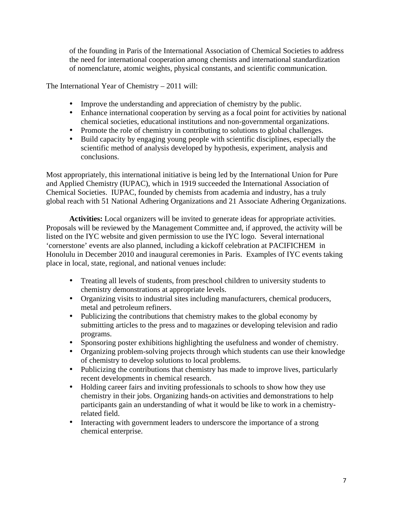of the founding in Paris of the International Association of Chemical Societies to address the need for international cooperation among chemists and international standardization of nomenclature, atomic weights, physical constants, and scientific communication.

The International Year of Chemistry – 2011 will:

- Improve the understanding and appreciation of chemistry by the public.
- Enhance international cooperation by serving as a focal point for activities by national chemical societies, educational institutions and non-governmental organizations.
- Promote the role of chemistry in contributing to solutions to global challenges.
- Build capacity by engaging young people with scientific disciplines, especially the scientific method of analysis developed by hypothesis, experiment, analysis and conclusions.

Most appropriately, this international initiative is being led by the International Union for Pure and Applied Chemistry (IUPAC), which in 1919 succeeded the International Association of Chemical Societies. IUPAC, founded by chemists from academia and industry, has a truly global reach with 51 National Adhering Organizations and 21 Associate Adhering Organizations.

**Activities:** Local organizers will be invited to generate ideas for appropriate activities. Proposals will be reviewed by the Management Committee and, if approved, the activity will be listed on the IYC website and given permission to use the IYC logo. Several international 'cornerstone' events are also planned, including a kickoff celebration at PACIFICHEM in Honolulu in December 2010 and inaugural ceremonies in Paris. Examples of IYC events taking place in local, state, regional, and national venues include:

- Treating all levels of students, from preschool children to university students to chemistry demonstrations at appropriate levels.
- Organizing visits to industrial sites including manufacturers, chemical producers, metal and petroleum refiners.
- Publicizing the contributions that chemistry makes to the global economy by submitting articles to the press and to magazines or developing television and radio programs.
- Sponsoring poster exhibitions highlighting the usefulness and wonder of chemistry.
- Organizing problem-solving projects through which students can use their knowledge of chemistry to develop solutions to local problems.
- Publicizing the contributions that chemistry has made to improve lives, particularly recent developments in chemical research.
- Holding career fairs and inviting professionals to schools to show how they use chemistry in their jobs. Organizing hands-on activities and demonstrations to help participants gain an understanding of what it would be like to work in a chemistryrelated field.
- Interacting with government leaders to underscore the importance of a strong chemical enterprise.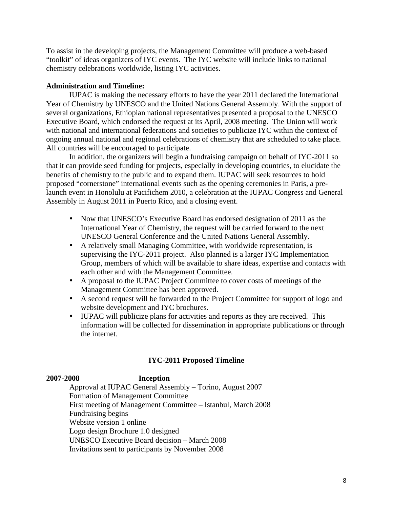To assist in the developing projects, the Management Committee will produce a web-based "toolkit" of ideas organizers of IYC events. The IYC website will include links to national chemistry celebrations worldwide, listing IYC activities.

#### **Administration and Timeline:**

IUPAC is making the necessary efforts to have the year 2011 declared the International Year of Chemistry by UNESCO and the United Nations General Assembly. With the support of several organizations, Ethiopian national representatives presented a proposal to the UNESCO Executive Board, which endorsed the request at its April, 2008 meeting. The Union will work with national and international federations and societies to publicize IYC within the context of ongoing annual national and regional celebrations of chemistry that are scheduled to take place. All countries will be encouraged to participate.

In addition, the organizers will begin a fundraising campaign on behalf of IYC-2011 so that it can provide seed funding for projects, especially in developing countries, to elucidate the benefits of chemistry to the public and to expand them. IUPAC will seek resources to hold proposed "cornerstone" international events such as the opening ceremonies in Paris, a prelaunch event in Honolulu at Pacifichem 2010, a celebration at the IUPAC Congress and General Assembly in August 2011 in Puerto Rico, and a closing event.

- Now that UNESCO's Executive Board has endorsed designation of 2011 as the International Year of Chemistry, the request will be carried forward to the next UNESCO General Conference and the United Nations General Assembly.
- A relatively small Managing Committee, with worldwide representation, is supervising the IYC-2011 project. Also planned is a larger IYC Implementation Group, members of which will be available to share ideas, expertise and contacts with each other and with the Management Committee.
- A proposal to the IUPAC Project Committee to cover costs of meetings of the Management Committee has been approved.
- A second request will be forwarded to the Project Committee for support of logo and website development and IYC brochures.
- IUPAC will publicize plans for activities and reports as they are received. This information will be collected for dissemination in appropriate publications or through the internet.

### **IYC-2011 Proposed Timeline**

#### **2007-2008 Inception**

 Approval at IUPAC General Assembly – Torino, August 2007 Formation of Management Committee First meeting of Management Committee – Istanbul, March 2008 Fundraising begins Website version 1 online Logo design Brochure 1.0 designed UNESCO Executive Board decision – March 2008 Invitations sent to participants by November 2008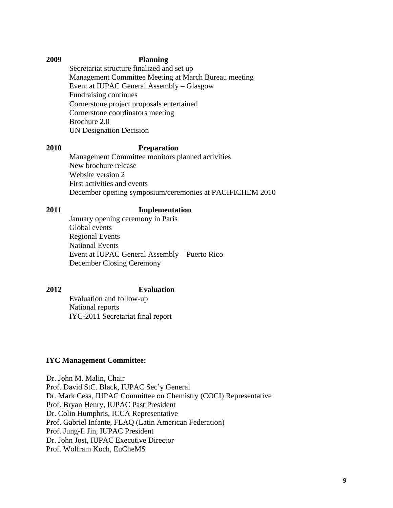#### **2009 Planning**

 Secretariat structure finalized and set up Management Committee Meeting at March Bureau meeting Event at IUPAC General Assembly – Glasgow Fundraising continues Cornerstone project proposals entertained Cornerstone coordinators meeting Brochure 2.0 UN Designation Decision

#### **2010 Preparation**

Management Committee monitors planned activities New brochure release Website version 2 First activities and events December opening symposium/ceremonies at PACIFICHEM 2010

# **2011 Implementation**

January opening ceremony in Paris Global events Regional Events National Events Event at IUPAC General Assembly – Puerto Rico December Closing Ceremony

# **2012 Evaluation**

 Evaluation and follow-up National reports IYC-2011 Secretariat final report

#### **IYC Management Committee:**

Dr. John M. Malin, Chair Prof. David StC. Black, IUPAC Sec'y General Dr. Mark Cesa, IUPAC Committee on Chemistry (COCI) Representative Prof. Bryan Henry, IUPAC Past President Dr. Colin Humphris, ICCA Representative Prof. Gabriel Infante, FLAQ (Latin American Federation) Prof. Jung-Il Jin, IUPAC President Dr. John Jost, IUPAC Executive Director Prof. Wolfram Koch, EuCheMS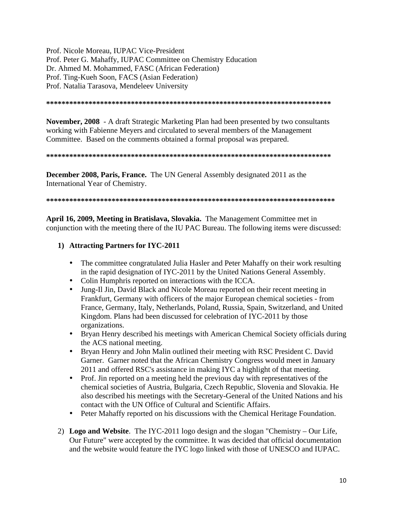Prof. Nicole Moreau, IUPAC Vice-President Prof. Peter G. Mahaffy, IUPAC Committee on Chemistry Education Dr. Ahmed M. Mohammed, FASC (African Federation) Prof. Ting-Kueh Soon, FACS (Asian Federation) Prof. Natalia Tarasova, Mendeleev University

**\*\*\*\*\*\*\*\*\*\*\*\*\*\*\*\*\*\*\*\*\*\*\*\*\*\*\*\*\*\*\*\*\*\*\*\*\*\*\*\*\*\*\*\*\*\*\*\*\*\*\*\*\*\*\*\*\*\*\*\*\*\*\*\*\*\*\*\*\*\*\*\*\*\*** 

**November, 2008** - A draft Strategic Marketing Plan had been presented by two consultants working with Fabienne Meyers and circulated to several members of the Management Committee. Based on the comments obtained a formal proposal was prepared.

#### **\*\*\*\*\*\*\*\*\*\*\*\*\*\*\*\*\*\*\*\*\*\*\*\*\*\*\*\*\*\*\*\*\*\*\*\*\*\*\*\*\*\*\*\*\*\*\*\*\*\*\*\*\*\*\*\*\*\*\*\*\*\*\*\*\*\*\*\*\*\*\*\*\*\***

**December 2008, Paris, France.** The UN General Assembly designated 2011 as the International Year of Chemistry.

**\*\*\*\*\*\*\*\*\*\*\*\*\*\*\*\*\*\*\*\*\*\*\*\*\*\*\*\*\*\*\*\*\*\*\*\*\*\*\*\*\*\*\*\*\*\*\*\*\*\*\*\*\*\*\*\*\*\*\*\*\*\*\*\*\*\*\*\*\*\*\*\*\*\*\*** 

**April 16, 2009, Meeting in Bratislava, Slovakia.** The Management Committee met in conjunction with the meeting there of the IU PAC Bureau. The following items were discussed:

### **1) Attracting Partners for IYC-2011**

- The committee congratulated Julia Hasler and Peter Mahaffy on their work resulting in the rapid designation of IYC-2011 by the United Nations General Assembly.
- Colin Humphris reported on interactions with the ICCA.
- Jung-Il Jin, David Black and Nicole Moreau reported on their recent meeting in Frankfurt, Germany with officers of the major European chemical societies - from France, Germany, Italy, Netherlands, Poland, Russia, Spain, Switzerland, and United Kingdom. Plans had been discussed for celebration of IYC-2011 by those organizations.
- Bryan Henry described his meetings with American Chemical Society officials during the ACS national meeting.
- Bryan Henry and John Malin outlined their meeting with RSC President C. David Garner. Garner noted that the African Chemistry Congress would meet in January 2011 and offered RSC's assistance in making IYC a highlight of that meeting.
- Prof. Jin reported on a meeting held the previous day with representatives of the chemical societies of Austria, Bulgaria, Czech Republic, Slovenia and Slovakia. He also described his meetings with the Secretary-General of the United Nations and his contact with the UN Office of Cultural and Scientific Affairs.
- Peter Mahaffy reported on his discussions with the Chemical Heritage Foundation.
- 2) **Logo and Website**. The IYC-2011 logo design and the slogan "Chemistry Our Life, Our Future" were accepted by the committee. It was decided that official documentation and the website would feature the IYC logo linked with those of UNESCO and IUPAC.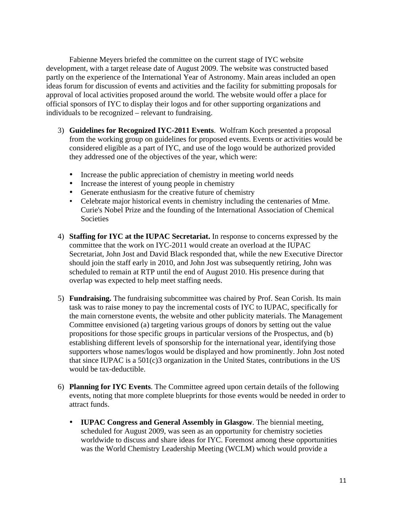Fabienne Meyers briefed the committee on the current stage of IYC website development, with a target release date of August 2009. The website was constructed based partly on the experience of the International Year of Astronomy. Main areas included an open ideas forum for discussion of events and activities and the facility for submitting proposals for approval of local activities proposed around the world. The website would offer a place for official sponsors of IYC to display their logos and for other supporting organizations and individuals to be recognized – relevant to fundraising.

- 3) **Guidelines for Recognized IYC-2011 Events**. Wolfram Koch presented a proposal from the working group on guidelines for proposed events. Events or activities would be considered eligible as a part of IYC, and use of the logo would be authorized provided they addressed one of the objectives of the year, which were:
	- Increase the public appreciation of chemistry in meeting world needs
	- Increase the interest of young people in chemistry
	- Generate enthusiasm for the creative future of chemistry
	- Celebrate major historical events in chemistry including the centenaries of Mme. Curie's Nobel Prize and the founding of the International Association of Chemical **Societies**
- 4) **Staffing for IYC at the IUPAC Secretariat.** In response to concerns expressed by the committee that the work on IYC-2011 would create an overload at the IUPAC Secretariat, John Jost and David Black responded that, while the new Executive Director should join the staff early in 2010, and John Jost was subsequently retiring, John was scheduled to remain at RTP until the end of August 2010. His presence during that overlap was expected to help meet staffing needs.
- 5) **Fundraising.** The fundraising subcommittee was chaired by Prof. Sean Corish. Its main task was to raise money to pay the incremental costs of IYC to IUPAC, specifically for the main cornerstone events, the website and other publicity materials. The Management Committee envisioned (a) targeting various groups of donors by setting out the value propositions for those specific groups in particular versions of the Prospectus, and (b) establishing different levels of sponsorship for the international year, identifying those supporters whose names/logos would be displayed and how prominently. John Jost noted that since IUPAC is a 501(c)3 organization in the United States, contributions in the US would be tax-deductible.
- 6) **Planning for IYC Events**. The Committee agreed upon certain details of the following events, noting that more complete blueprints for those events would be needed in order to attract funds.
	- **IUPAC Congress and General Assembly in Glasgow**. The biennial meeting, scheduled for August 2009, was seen as an opportunity for chemistry societies worldwide to discuss and share ideas for IYC. Foremost among these opportunities was the World Chemistry Leadership Meeting (WCLM) which would provide a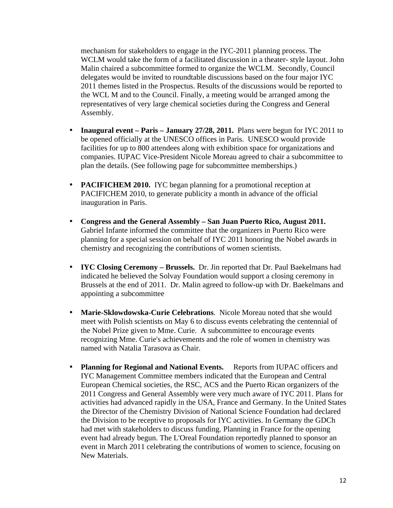mechanism for stakeholders to engage in the IYC-2011 planning process. The WCLM would take the form of a facilitated discussion in a theater- style layout. John Malin chaired a subcommittee formed to organize the WCLM. Secondly, Council delegates would be invited to roundtable discussions based on the four major IYC 2011 themes listed in the Prospectus. Results of the discussions would be reported to the WCL M and to the Council. Finally, a meeting would be arranged among the representatives of very large chemical societies during the Congress and General Assembly.

- **Inaugural event Paris January 27/28, 2011.** Plans were begun for IYC 2011 to be opened officially at the UNESCO offices in Paris. UNESCO would provide facilities for up to 800 attendees along with exhibition space for organizations and companies. IUPAC Vice-President Nicole Moreau agreed to chair a subcommittee to plan the details. (See following page for subcommittee memberships.)
- **PACIFICHEM 2010.** IYC began planning for a promotional reception at PACIFICHEM 2010, to generate publicity a month in advance of the official inauguration in Paris.
- **Congress and the General Assembly San Juan Puerto Rico, August 2011.**  Gabriel Infante informed the committee that the organizers in Puerto Rico were planning for a special session on behalf of IYC 2011 honoring the Nobel awards in chemistry and recognizing the contributions of women scientists.
- **IYC Closing Ceremony Brussels.** Dr. Jin reported that Dr. Paul Baekelmans had indicated he believed the Solvay Foundation would support a closing ceremony in Brussels at the end of 2011. Dr. Malin agreed to follow-up with Dr. Baekelmans and appointing a subcommittee
- **Marie-Sklowdowska-Curie Celebrations**. Nicole Moreau noted that she would meet with Polish scientists on May 6 to discuss events celebrating the centennial of the Nobel Prize given to Mme. Curie. A subcommittee to encourage events recognizing Mme. Curie's achievements and the role of women in chemistry was named with Natalia Tarasova as Chair.
- **Planning for Regional and National Events.** Reports from IUPAC officers and IYC Management Committee members indicated that the European and Central European Chemical societies, the RSC, ACS and the Puerto Rican organizers of the 2011 Congress and General Assembly were very much aware of IYC 2011. Plans for activities had advanced rapidly in the USA, France and Germany. In the United States the Director of the Chemistry Division of National Science Foundation had declared the Division to be receptive to proposals for IYC activities. In Germany the GDCh had met with stakeholders to discuss funding. Planning in France for the opening event had already begun. The L'Oreal Foundation reportedly planned to sponsor an event in March 2011 celebrating the contributions of women to science, focusing on New Materials.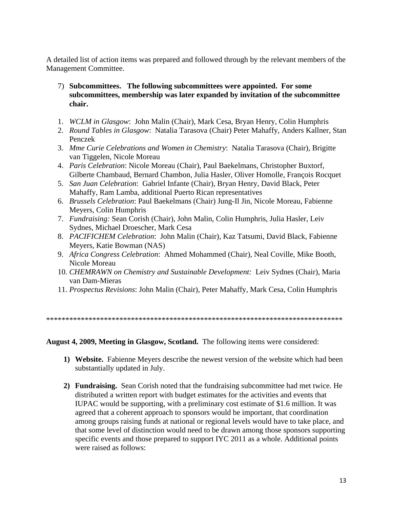A detailed list of action items was prepared and followed through by the relevant members of the Management Committee.

- 7) **Subcommittees. The following subcommittees were appointed. For some subcommittees, membership was later expanded by invitation of the subcommittee chair.**
- 1. *WCLM in Glasgow*: John Malin (Chair), Mark Cesa, Bryan Henry, Colin Humphris
- 2. *Round Tables in Glasgow*: Natalia Tarasova (Chair) Peter Mahaffy, Anders Kallner, Stan Penczek
- 3. *Mme Curie Celebrations and Women in Chemistry*: Natalia Tarasova (Chair), Brigitte van Tiggelen, Nicole Moreau
- 4. *Paris Celebration*: Nicole Moreau (Chair), Paul Baekelmans, Christopher Buxtorf, Gilberte Chambaud, Bernard Chambon, Julia Hasler, Oliver Homolle, François Rocquet
- 5. *San Juan Celebration*: Gabriel Infante (Chair), Bryan Henry, David Black, Peter Mahaffy, Ram Lamba, additional Puerto Rican representatives
- 6. *Brussels Celebration*: Paul Baekelmans (Chair) Jung-Il Jin, Nicole Moreau, Fabienne Meyers, Colin Humphris
- 7. *Fundraising:* Sean Corish (Chair), John Malin, Colin Humphris, Julia Hasler, Leiv Sydnes, Michael Droescher, Mark Cesa
- 8. *PACIFICHEM Celebration*: John Malin (Chair), Kaz Tatsumi, David Black, Fabienne Meyers, Katie Bowman (NAS)
- 9. *Africa Congress Celebration*: Ahmed Mohammed (Chair), Neal Coville, Mike Booth, Nicole Moreau
- 10. *CHEMRAWN on Chemistry and Sustainable Development:* Leiv Sydnes (Chair), Maria van Dam-Mieras
- 11. *Prospectus Revisions*: John Malin (Chair), Peter Mahaffy, Mark Cesa, Colin Humphris

\*\*\*\*\*\*\*\*\*\*\*\*\*\*\*\*\*\*\*\*\*\*\*\*\*\*\*\*\*\*\*\*\*\*\*\*\*\*\*\*\*\*\*\*\*\*\*\*\*\*\*\*\*\*\*\*\*\*\*\*\*\*\*\*\*\*\*\*\*\*\*\*\*\*\*\*\*

#### **August 4, 2009, Meeting in Glasgow, Scotland.** The following items were considered:

- **1) Website.** Fabienne Meyers describe the newest version of the website which had been substantially updated in July.
- **2) Fundraising.** Sean Corish noted that the fundraising subcommittee had met twice. He distributed a written report with budget estimates for the activities and events that IUPAC would be supporting, with a preliminary cost estimate of \$1.6 million. It was agreed that a coherent approach to sponsors would be important, that coordination among groups raising funds at national or regional levels would have to take place, and that some level of distinction would need to be drawn among those sponsors supporting specific events and those prepared to support IYC 2011 as a whole. Additional points were raised as follows: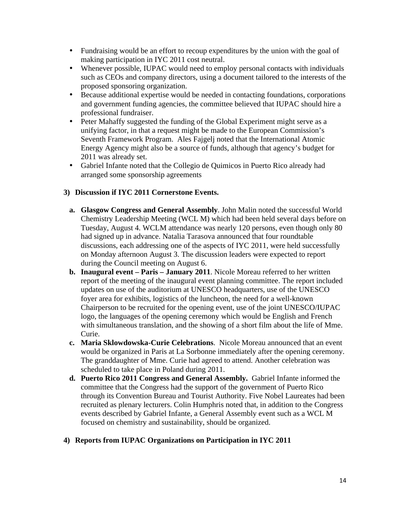- Fundraising would be an effort to recoup expenditures by the union with the goal of making participation in IYC 2011 cost neutral.
- Whenever possible, IUPAC would need to employ personal contacts with individuals such as CEOs and company directors, using a document tailored to the interests of the proposed sponsoring organization.
- Because additional expertise would be needed in contacting foundations, corporations and government funding agencies, the committee believed that IUPAC should hire a professional fundraiser.
- Peter Mahaffy suggested the funding of the Global Experiment might serve as a unifying factor, in that a request might be made to the European Commission's Seventh Framework Program. Ales Fajgelj noted that the International Atomic Energy Agency might also be a source of funds, although that agency's budget for 2011 was already set.
- Gabriel Infante noted that the Collegio de Quimicos in Puerto Rico already had arranged some sponsorship agreements

### **3) Discussion if IYC 2011 Cornerstone Events.**

- **a. Glasgow Congress and General Assembly**. John Malin noted the successful World Chemistry Leadership Meeting (WCL M) which had been held several days before on Tuesday, August 4. WCLM attendance was nearly 120 persons, even though only 80 had signed up in advance. Natalia Tarasova announced that four roundtable discussions, each addressing one of the aspects of IYC 2011, were held successfully on Monday afternoon August 3. The discussion leaders were expected to report during the Council meeting on August 6.
- **b. Inaugural event Paris January 2011**. Nicole Moreau referred to her written report of the meeting of the inaugural event planning committee. The report included updates on use of the auditorium at UNESCO headquarters, use of the UNESCO foyer area for exhibits, logistics of the luncheon, the need for a well-known Chairperson to be recruited for the opening event, use of the joint UNESCO/IUPAC logo, the languages of the opening ceremony which would be English and French with simultaneous translation, and the showing of a short film about the life of Mme. Curie.
- **c. Maria Sklowdowska-Curie Celebrations**. Nicole Moreau announced that an event would be organized in Paris at La Sorbonne immediately after the opening ceremony. The granddaughter of Mme. Curie had agreed to attend. Another celebration was scheduled to take place in Poland during 2011.
- **d. Puerto Rico 2011 Congress and General Assembly.** Gabriel Infante informed the committee that the Congress had the support of the government of Puerto Rico through its Convention Bureau and Tourist Authority. Five Nobel Laureates had been recruited as plenary lecturers. Colin Humphris noted that, in addition to the Congress events described by Gabriel Infante, a General Assembly event such as a WCL M focused on chemistry and sustainability, should be organized.

### **4) Reports from IUPAC Organizations on Participation in IYC 2011**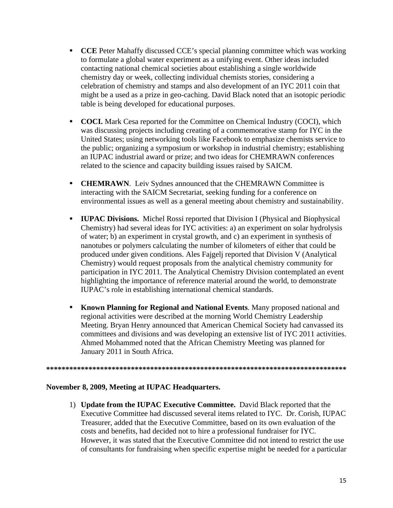- **CCE** Peter Mahaffy discussed CCE's special planning committee which was working to formulate a global water experiment as a unifying event. Other ideas included contacting national chemical societies about establishing a single worldwide chemistry day or week, collecting individual chemists stories, considering a celebration of chemistry and stamps and also development of an IYC 2011 coin that might be a used as a prize in geo-caching. David Black noted that an isotopic periodic table is being developed for educational purposes.
- **COCI.** Mark Cesa reported for the Committee on Chemical Industry (COCI), which was discussing projects including creating of a commemorative stamp for IYC in the United States; using networking tools like Facebook to emphasize chemists service to the public; organizing a symposium or workshop in industrial chemistry; establishing an IUPAC industrial award or prize; and two ideas for CHEMRAWN conferences related to the science and capacity building issues raised by SAICM.
- **CHEMRAWN**. Leiv Sydnes announced that the CHEMRAWN Committee is interacting with the SAICM Secretariat, seeking funding for a conference on environmental issues as well as a general meeting about chemistry and sustainability.
- **IUPAC Divisions.** Michel Rossi reported that Division I (Physical and Biophysical Chemistry) had several ideas for IYC activities: a) an experiment on solar hydrolysis of water; b) an experiment in crystal growth, and c) an experiment in synthesis of nanotubes or polymers calculating the number of kilometers of either that could be produced under given conditions. Ales Fajgelj reported that Division V (Analytical Chemistry) would request proposals from the analytical chemistry community for participation in IYC 2011. The Analytical Chemistry Division contemplated an event highlighting the importance of reference material around the world, to demonstrate IUPAC's role in establishing international chemical standards.
- **Known Planning for Regional and National Events**. Many proposed national and regional activities were described at the morning World Chemistry Leadership Meeting. Bryan Henry announced that American Chemical Society had canvassed its committees and divisions and was developing an extensive list of IYC 2011 activities. Ahmed Mohammed noted that the African Chemistry Meeting was planned for January 2011 in South Africa.

#### **\*\*\*\*\*\*\*\*\*\*\*\*\*\*\*\*\*\*\*\*\*\*\*\*\*\*\*\*\*\*\*\*\*\*\*\*\*\*\*\*\*\*\*\*\*\*\*\*\*\*\*\*\*\*\*\*\*\*\*\*\*\*\*\*\*\*\*\*\*\*\*\*\*\*\*\*\*\***

#### **November 8, 2009, Meeting at IUPAC Headquarters.**

1) **Update from the IUPAC Executive Committee.** David Black reported that the Executive Committee had discussed several items related to IYC. Dr. Corish, IUPAC Treasurer, added that the Executive Committee, based on its own evaluation of the costs and benefits, had decided not to hire a professional fundraiser for IYC. However, it was stated that the Executive Committee did not intend to restrict the use of consultants for fundraising when specific expertise might be needed for a particular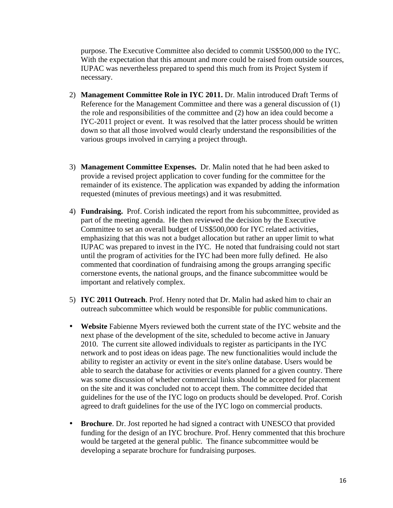purpose. The Executive Committee also decided to commit US\$500,000 to the IYC. With the expectation that this amount and more could be raised from outside sources, IUPAC was nevertheless prepared to spend this much from its Project System if necessary.

- 2) **Management Committee Role in IYC 2011.** Dr. Malin introduced Draft Terms of Reference for the Management Committee and there was a general discussion of (1) the role and responsibilities of the committee and (2) how an idea could become a IYC-2011 project or event. It was resolved that the latter process should be written down so that all those involved would clearly understand the responsibilities of the various groups involved in carrying a project through.
- 3) **Management Committee Expenses.** Dr. Malin noted that he had been asked to provide a revised project application to cover funding for the committee for the remainder of its existence. The application was expanded by adding the information requested (minutes of previous meetings) and it was resubmitted.
- 4) **Fundraising.** Prof. Corish indicated the report from his subcommittee, provided as part of the meeting agenda. He then reviewed the decision by the Executive Committee to set an overall budget of US\$500,000 for IYC related activities, emphasizing that this was not a budget allocation but rather an upper limit to what IUPAC was prepared to invest in the IYC. He noted that fundraising could not start until the program of activities for the IYC had been more fully defined. He also commented that coordination of fundraising among the groups arranging specific cornerstone events, the national groups, and the finance subcommittee would be important and relatively complex.
- 5) **IYC 2011 Outreach**. Prof. Henry noted that Dr. Malin had asked him to chair an outreach subcommittee which would be responsible for public communications.
- **Website** Fabienne Myers reviewed both the current state of the IYC website and the next phase of the development of the site, scheduled to become active in January 2010. The current site allowed individuals to register as participants in the IYC network and to post ideas on ideas page. The new functionalities would include the ability to register an activity or event in the site's online database. Users would be able to search the database for activities or events planned for a given country. There was some discussion of whether commercial links should be accepted for placement on the site and it was concluded not to accept them. The committee decided that guidelines for the use of the IYC logo on products should be developed. Prof. Corish agreed to draft guidelines for the use of the IYC logo on commercial products.
- **Brochure**. Dr. Jost reported he had signed a contract with UNESCO that provided funding for the design of an IYC brochure. Prof. Henry commented that this brochure would be targeted at the general public. The finance subcommittee would be developing a separate brochure for fundraising purposes.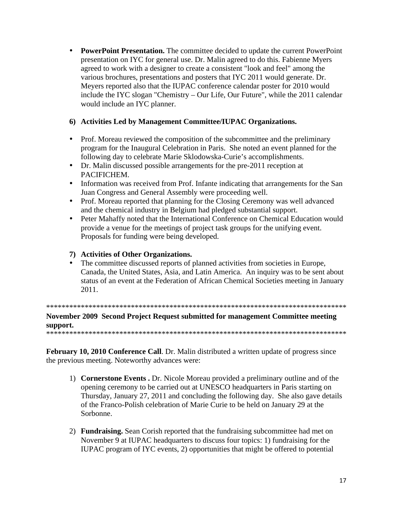• **PowerPoint Presentation.** The committee decided to update the current PowerPoint presentation on IYC for general use. Dr. Malin agreed to do this. Fabienne Myers agreed to work with a designer to create a consistent "look and feel" among the various brochures, presentations and posters that IYC 2011 would generate. Dr. Meyers reported also that the IUPAC conference calendar poster for 2010 would include the IYC slogan "Chemistry – Our Life, Our Future", while the 2011 calendar would include an IYC planner.

# **6) Activities Led by Management Committee/IUPAC Organizations.**

- Prof. Moreau reviewed the composition of the subcommittee and the preliminary program for the Inaugural Celebration in Paris. She noted an event planned for the following day to celebrate Marie Sklodowska-Curie's accomplishments.
- Dr. Malin discussed possible arrangements for the pre-2011 reception at **PACIFICHEM.**
- Information was received from Prof. Infante indicating that arrangements for the San Juan Congress and General Assembly were proceeding well.
- Prof. Moreau reported that planning for the Closing Ceremony was well advanced and the chemical industry in Belgium had pledged substantial support.
- Peter Mahaffy noted that the International Conference on Chemical Education would provide a venue for the meetings of project task groups for the unifying event. Proposals for funding were being developed.

# **7) Activities of Other Organizations.**

• The committee discussed reports of planned activities from societies in Europe, Canada, the United States, Asia, and Latin America. An inquiry was to be sent about status of an event at the Federation of African Chemical Societies meeting in January 2011.

\*\*\*\*\*\*\*\*\*\*\*\*\*\*\*\*\*\*\*\*\*\*\*\*\*\*\*\*\*\*\*\*\*\*\*\*\*\*\*\*\*\*\*\*\*\*\*\*\*\*\*\*\*\*\*\*\*\*\*\*\*\*\*\*\*\*\*\*\*\*\*\*\*\*\*\*\*\*

**November 2009 Second Project Request submitted for management Committee meeting support.**  \*\*\*\*\*\*\*\*\*\*\*\*\*\*\*\*\*\*\*\*\*\*\*\*\*\*\*\*\*\*\*\*\*\*\*\*\*\*\*\*\*\*\*\*\*\*\*\*\*\*\*\*\*\*\*\*\*\*\*\*\*\*\*\*\*\*\*\*\*\*\*\*\*\*\*\*\*\*

February 10, 2010 Conference Call. Dr. Malin distributed a written update of progress since the previous meeting. Noteworthy advances were:

- 1) **Cornerstone Events .** Dr. Nicole Moreau provided a preliminary outline and of the opening ceremony to be carried out at UNESCO headquarters in Paris starting on Thursday, January 27, 2011 and concluding the following day. She also gave details of the Franco-Polish celebration of Marie Curie to be held on January 29 at the Sorbonne.
- 2) **Fundraising.** Sean Corish reported that the fundraising subcommittee had met on November 9 at IUPAC headquarters to discuss four topics: 1) fundraising for the IUPAC program of IYC events, 2) opportunities that might be offered to potential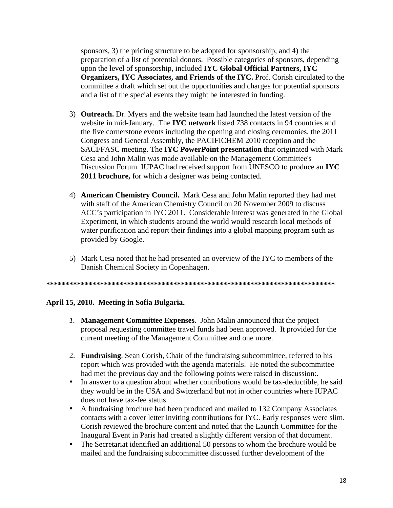sponsors, 3) the pricing structure to be adopted for sponsorship, and 4) the preparation of a list of potential donors. Possible categories of sponsors, depending upon the level of sponsorship, included **IYC Global Official Partners, IYC Organizers, IYC Associates, and Friends of the IYC.** Prof. Corish circulated to the committee a draft which set out the opportunities and charges for potential sponsors and a list of the special events they might be interested in funding.

- 3) **Outreach.** Dr. Myers and the website team had launched the latest version of the website in mid-January. The **IYC network** listed 738 contacts in 94 countries and the five cornerstone events including the opening and closing ceremonies, the 2011 Congress and General Assembly, the PACIFICHEM 2010 reception and the SACI/FASC meeting. The **IYC PowerPoint presentation** that originated with Mark Cesa and John Malin was made available on the Management Committee's Discussion Forum. IUPAC had received support from UNESCO to produce an **IYC 2011 brochure,** for which a designer was being contacted.
- 4) **American Chemistry Council.** Mark Cesa and John Malin reported they had met with staff of the American Chemistry Council on 20 November 2009 to discuss ACC's participation in IYC 2011. Considerable interest was generated in the Global Experiment, in which students around the world would research local methods of water purification and report their findings into a global mapping program such as provided by Google.
- 5) Mark Cesa noted that he had presented an overview of the IYC to members of the Danish Chemical Society in Copenhagen.

**\*\*\*\*\*\*\*\*\*\*\*\*\*\*\*\*\*\*\*\*\*\*\*\*\*\*\*\*\*\*\*\*\*\*\*\*\*\*\*\*\*\*\*\*\*\*\*\*\*\*\*\*\*\*\*\*\*\*\*\*\*\*\*\*\*\*\*\*\*\*\*\*\*\*\*** 

### **April 15, 2010. Meeting in Sofia Bulgaria.**

- *1.* **Management Committee Expenses**. John Malin announced that the project proposal requesting committee travel funds had been approved. It provided for the current meeting of the Management Committee and one more.
- 2. **Fundraising**. Sean Corish, Chair of the fundraising subcommittee, referred to his report which was provided with the agenda materials. He noted the subcommittee had met the previous day and the following points were raised in discussion:.
- In answer to a question about whether contributions would be tax-deductible, he said they would be in the USA and Switzerland but not in other countries where IUPAC does not have tax-fee status.
- A fundraising brochure had been produced and mailed to 132 Company Associates contacts with a cover letter inviting contributions for IYC. Early responses were slim. Corish reviewed the brochure content and noted that the Launch Committee for the Inaugural Event in Paris had created a slightly different version of that document.
- The Secretariat identified an additional 50 persons to whom the brochure would be mailed and the fundraising subcommittee discussed further development of the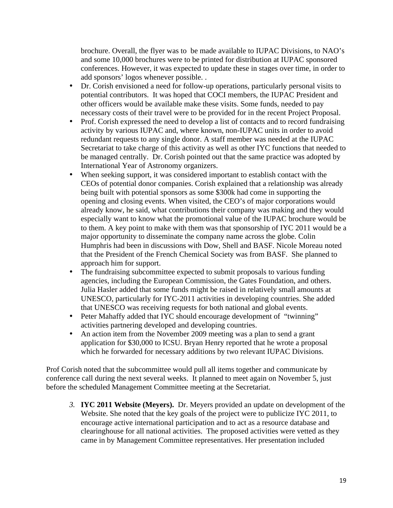brochure. Overall, the flyer was to be made available to IUPAC Divisions, to NAO's and some 10,000 brochures were to be printed for distribution at IUPAC sponsored conferences. However, it was expected to update these in stages over time, in order to add sponsors' logos whenever possible. .

- Dr. Corish envisioned a need for follow-up operations, particularly personal visits to potential contributors. It was hoped that COCI members, the IUPAC President and other officers would be available make these visits. Some funds, needed to pay necessary costs of their travel were to be provided for in the recent Project Proposal.
- Prof. Corish expressed the need to develop a list of contacts and to record fundraising activity by various IUPAC and, where known, non-IUPAC units in order to avoid redundant requests to any single donor. A staff member was needed at the IUPAC Secretariat to take charge of this activity as well as other IYC functions that needed to be managed centrally. Dr. Corish pointed out that the same practice was adopted by International Year of Astronomy organizers.
- When seeking support, it was considered important to establish contact with the CEOs of potential donor companies. Corish explained that a relationship was already being built with potential sponsors as some \$300k had come in supporting the opening and closing events. When visited, the CEO's of major corporations would already know, he said, what contributions their company was making and they would especially want to know what the promotional value of the IUPAC brochure would be to them. A key point to make with them was that sponsorship of IYC 2011 would be a major opportunity to disseminate the company name across the globe. Colin Humphris had been in discussions with Dow, Shell and BASF. Nicole Moreau noted that the President of the French Chemical Society was from BASF. She planned to approach him for support.
- The fundraising subcommittee expected to submit proposals to various funding agencies, including the European Commission, the Gates Foundation, and others. Julia Hasler added that some funds might be raised in relatively small amounts at UNESCO, particularly for IYC-2011 activities in developing countries. She added that UNESCO was receiving requests for both national and global events.
- Peter Mahaffy added that IYC should encourage development of "twinning" activities partnering developed and developing countries.
- An action item from the November 2009 meeting was a plan to send a grant application for \$30,000 to ICSU. Bryan Henry reported that he wrote a proposal which he forwarded for necessary additions by two relevant IUPAC Divisions.

Prof Corish noted that the subcommittee would pull all items together and communicate by conference call during the next several weeks. It planned to meet again on November 5, just before the scheduled Management Committee meeting at the Secretariat.

*3.* **IYC 2011 Website (Meyers).** Dr. Meyers provided an update on development of the Website. She noted that the key goals of the project were to publicize IYC 2011, to encourage active international participation and to act as a resource database and clearinghouse for all national activities. The proposed activities were vetted as they came in by Management Committee representatives. Her presentation included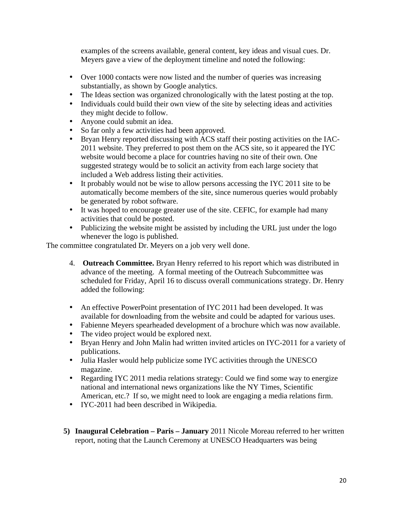examples of the screens available, general content, key ideas and visual cues. Dr. Meyers gave a view of the deployment timeline and noted the following:

- Over 1000 contacts were now listed and the number of queries was increasing substantially, as shown by Google analytics.
- The Ideas section was organized chronologically with the latest posting at the top.
- Individuals could build their own view of the site by selecting ideas and activities they might decide to follow.
- Anyone could submit an idea.
- So far only a few activities had been approved.
- Bryan Henry reported discussing with ACS staff their posting activities on the IAC-2011 website. They preferred to post them on the ACS site, so it appeared the IYC website would become a place for countries having no site of their own. One suggested strategy would be to solicit an activity from each large society that included a Web address listing their activities.
- It probably would not be wise to allow persons accessing the IYC 2011 site to be automatically become members of the site, since numerous queries would probably be generated by robot software.
- It was hoped to encourage greater use of the site. CEFIC, for example had many activities that could be posted.
- Publicizing the website might be assisted by including the URL just under the logo whenever the logo is published.

The committee congratulated Dr. Meyers on a job very well done.

- 4. **Outreach Committee.** Bryan Henry referred to his report which was distributed in advance of the meeting. A formal meeting of the Outreach Subcommittee was scheduled for Friday, April 16 to discuss overall communications strategy. Dr. Henry added the following:
- An effective PowerPoint presentation of IYC 2011 had been developed. It was available for downloading from the website and could be adapted for various uses.
- Fabienne Meyers spearheaded development of a brochure which was now available.
- The video project would be explored next.
- Bryan Henry and John Malin had written invited articles on IYC-2011 for a variety of publications.
- Julia Hasler would help publicize some IYC activities through the UNESCO magazine.
- Regarding IYC 2011 media relations strategy: Could we find some way to energize national and international news organizations like the NY Times, Scientific American, etc.? If so, we might need to look are engaging a media relations firm.
- IYC-2011 had been described in Wikipedia.
- **5) Inaugural Celebration Paris January** 2011 Nicole Moreau referred to her written report, noting that the Launch Ceremony at UNESCO Headquarters was being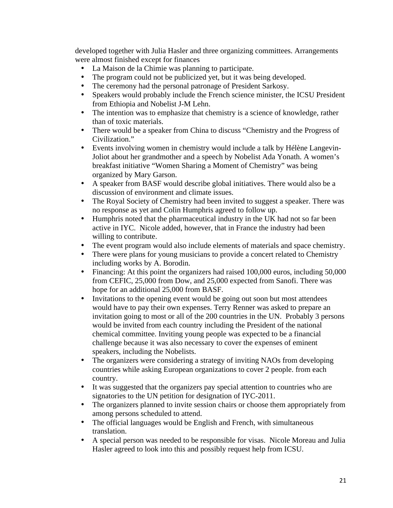developed together with Julia Hasler and three organizing committees. Arrangements were almost finished except for finances

- La Maison de la Chimie was planning to participate.<br>• The program could not be publicized vet but it was b
- The program could not be publicized yet, but it was being developed.
- The ceremony had the personal patronage of President Sarkosy.<br>• Speakers would probably include the French science minister, the
- Speakers would probably include the French science minister, the ICSU President from Ethiopia and Nobelist J-M Lehn.
- The intention was to emphasize that chemistry is a science of knowledge, rather than of toxic materials.
- There would be a speaker from China to discuss "Chemistry and the Progress of Civilization."
- Events involving women in chemistry would include a talk by Hélène Langevin-Joliot about her grandmother and a speech by Nobelist Ada Yonath. A women's breakfast initiative "Women Sharing a Moment of Chemistry" was being organized by Mary Garson.
- A speaker from BASF would describe global initiatives. There would also be a discussion of environment and climate issues.
- The Royal Society of Chemistry had been invited to suggest a speaker. There was no response as yet and Colin Humphris agreed to follow up.
- Humphris noted that the pharmaceutical industry in the UK had not so far been active in IYC. Nicole added, however, that in France the industry had been willing to contribute.
- The event program would also include elements of materials and space chemistry.<br>• There were plans for young musicians to provide a concert related to Chemistry
- There were plans for young musicians to provide a concert related to Chemistry including works by A. Borodin.
- Financing: At this point the organizers had raised 100,000 euros, including 50,000 from CEFIC, 25,000 from Dow, and 25,000 expected from Sanofi. There was hope for an additional 25,000 from BASF.
- Invitations to the opening event would be going out soon but most attendees would have to pay their own expenses. Terry Renner was asked to prepare an invitation going to most or all of the 200 countries in the UN. Probably 3 persons would be invited from each country including the President of the national chemical committee. Inviting young people was expected to be a financial challenge because it was also necessary to cover the expenses of eminent speakers, including the Nobelists.
- The organizers were considering a strategy of inviting NAOs from developing countries while asking European organizations to cover 2 people. from each country.
- It was suggested that the organizers pay special attention to countries who are signatories to the UN petition for designation of IYC-2011.
- The organizers planned to invite session chairs or choose them appropriately from among persons scheduled to attend.
- The official languages would be English and French, with simultaneous translation.
- A special person was needed to be responsible for visas. Nicole Moreau and Julia Hasler agreed to look into this and possibly request help from ICSU.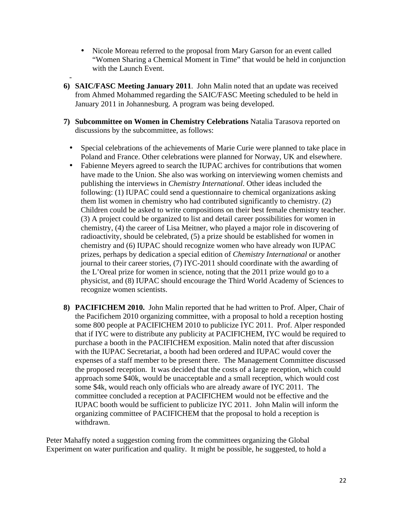- Nicole Moreau referred to the proposal from Mary Garson for an event called "Women Sharing a Chemical Moment in Time" that would be held in conjunction with the Launch Event.
- **6) SAIC/FASC Meeting January 2011**. John Malin noted that an update was received from Ahmed Mohammed regarding the SAIC/FASC Meeting scheduled to be held in January 2011 in Johannesburg. A program was being developed.
- **7) Subcommittee on Women in Chemistry Celebrations** Natalia Tarasova reported on discussions by the subcommittee, as follows:
	- Special celebrations of the achievements of Marie Curie were planned to take place in Poland and France. Other celebrations were planned for Norway, UK and elsewhere.
	- Fabienne Meyers agreed to search the IUPAC archives for contributions that women have made to the Union. She also was working on interviewing women chemists and publishing the interviews in *Chemistry International*. Other ideas included the following: (1) IUPAC could send a questionnaire to chemical organizations asking them list women in chemistry who had contributed significantly to chemistry. (2) Children could be asked to write compositions on their best female chemistry teacher. (3) A project could be organized to list and detail career possibilities for women in chemistry, (4) the career of Lisa Meitner, who played a major role in discovering of radioactivity, should be celebrated, (5) a prize should be established for women in chemistry and (6) IUPAC should recognize women who have already won IUPAC prizes, perhaps by dedication a special edition of *Chemistry International* or another journal to their career stories, (7) IYC-2011 should coordinate with the awarding of the L'Oreal prize for women in science, noting that the 2011 prize would go to a physicist, and (8) IUPAC should encourage the Third World Academy of Sciences to recognize women scientists.
- **8) PACIFICHEM 2010.** John Malin reported that he had written to Prof. Alper, Chair of the Pacifichem 2010 organizing committee, with a proposal to hold a reception hosting some 800 people at PACIFICHEM 2010 to publicize IYC 2011. Prof. Alper responded that if IYC were to distribute any publicity at PACIFICHEM, IYC would be required to purchase a booth in the PACIFICHEM exposition. Malin noted that after discussion with the IUPAC Secretariat, a booth had been ordered and IUPAC would cover the expenses of a staff member to be present there. The Management Committee discussed the proposed reception. It was decided that the costs of a large reception, which could approach some \$40k, would be unacceptable and a small reception, which would cost some \$4k, would reach only officials who are already aware of IYC 2011. The committee concluded a reception at PACIFICHEM would not be effective and the IUPAC booth would be sufficient to publicize IYC 2011. John Malin will inform the organizing committee of PACIFICHEM that the proposal to hold a reception is withdrawn.

Peter Mahaffy noted a suggestion coming from the committees organizing the Global Experiment on water purification and quality. It might be possible, he suggested, to hold a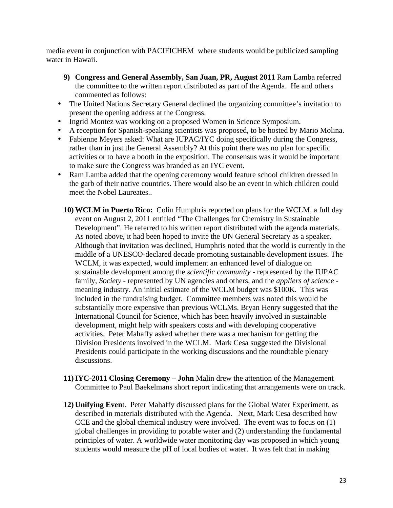media event in conjunction with PACIFICHEM where students would be publicized sampling water in Hawaii.

- **9) Congress and General Assembly, San Juan, PR, August 2011** Ram Lamba referred the committee to the written report distributed as part of the Agenda. He and others commented as follows:
- The United Nations Secretary General declined the organizing committee's invitation to present the opening address at the Congress.
- Ingrid Montez was working on a proposed Women in Science Symposium.
- A reception for Spanish-speaking scientists was proposed, to be hosted by Mario Molina.
- Fabienne Meyers asked: What are IUPAC/IYC doing specifically during the Congress, rather than in just the General Assembly? At this point there was no plan for specific activities or to have a booth in the exposition. The consensus was it would be important to make sure the Congress was branded as an IYC event.
- Ram Lamba added that the opening ceremony would feature school children dressed in the garb of their native countries. There would also be an event in which children could meet the Nobel Laureates..
	- **10) WCLM in Puerto Rico:** Colin Humphris reported on plans for the WCLM, a full day event on August 2, 2011 entitled "The Challenges for Chemistry in Sustainable Development". He referred to his written report distributed with the agenda materials. As noted above, it had been hoped to invite the UN General Secretary as a speaker. Although that invitation was declined, Humphris noted that the world is currently in the middle of a UNESCO-declared decade promoting sustainable development issues. The WCLM, it was expected, would implement an enhanced level of dialogue on sustainable development among the *scientific community* - represented by the IUPAC family, *Society* - represented by UN agencies and others, and the *appliers of science* meaning industry. An initial estimate of the WCLM budget was \$100K. This was included in the fundraising budget. Committee members was noted this would be substantially more expensive than previous WCLMs. Bryan Henry suggested that the International Council for Science, which has been heavily involved in sustainable development, might help with speakers costs and with developing cooperative activities. Peter Mahaffy asked whether there was a mechanism for getting the Division Presidents involved in the WCLM. Mark Cesa suggested the Divisional Presidents could participate in the working discussions and the roundtable plenary discussions.
	- **11)IYC-2011 Closing Ceremony John** Malin drew the attention of the Management Committee to Paul Baekelmans short report indicating that arrangements were on track.
	- **12) Unifying Even**t. Peter Mahaffy discussed plans for the Global Water Experiment, as described in materials distributed with the Agenda. Next, Mark Cesa described how CCE and the global chemical industry were involved. The event was to focus on (1) global challenges in providing to potable water and (2) understanding the fundamental principles of water. A worldwide water monitoring day was proposed in which young students would measure the pH of local bodies of water. It was felt that in making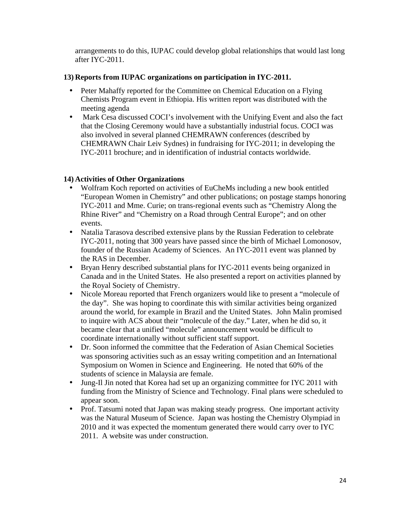arrangements to do this, IUPAC could develop global relationships that would last long after IYC-2011.

### **13) Reports from IUPAC organizations on participation in IYC-2011.**

- Peter Mahaffy reported for the Committee on Chemical Education on a Flying Chemists Program event in Ethiopia. His written report was distributed with the meeting agenda
- Mark Cesa discussed COCI's involvement with the Unifying Event and also the fact that the Closing Ceremony would have a substantially industrial focus. COCI was also involved in several planned CHEMRAWN conferences (described by CHEMRAWN Chair Leiv Sydnes) in fundraising for IYC-2011; in developing the IYC-2011 brochure; and in identification of industrial contacts worldwide.

# **14) Activities of Other Organizations**

- Wolfram Koch reported on activities of EuCheMs including a new book entitled "European Women in Chemistry" and other publications; on postage stamps honoring IYC-2011 and Mme. Curie; on trans-regional events such as "Chemistry Along the Rhine River" and "Chemistry on a Road through Central Europe"; and on other events.
- Natalia Tarasova described extensive plans by the Russian Federation to celebrate IYC-2011, noting that 300 years have passed since the birth of Michael Lomonosov, founder of the Russian Academy of Sciences. An IYC-2011 event was planned by the RAS in December.
- Bryan Henry described substantial plans for IYC-2011 events being organized in Canada and in the United States. He also presented a report on activities planned by the Royal Society of Chemistry.
- Nicole Moreau reported that French organizers would like to present a "molecule of the day". She was hoping to coordinate this with similar activities being organized around the world, for example in Brazil and the United States. John Malin promised to inquire with ACS about their "molecule of the day." Later, when he did so, it became clear that a unified "molecule" announcement would be difficult to coordinate internationally without sufficient staff support.
- Dr. Soon informed the committee that the Federation of Asian Chemical Societies was sponsoring activities such as an essay writing competition and an International Symposium on Women in Science and Engineering. He noted that 60% of the students of science in Malaysia are female.
- Jung-Il Jin noted that Korea had set up an organizing committee for IYC 2011 with funding from the Ministry of Science and Technology. Final plans were scheduled to appear soon.
- Prof. Tatsumi noted that Japan was making steady progress. One important activity was the Natural Museum of Science. Japan was hosting the Chemistry Olympiad in 2010 and it was expected the momentum generated there would carry over to IYC 2011. A website was under construction.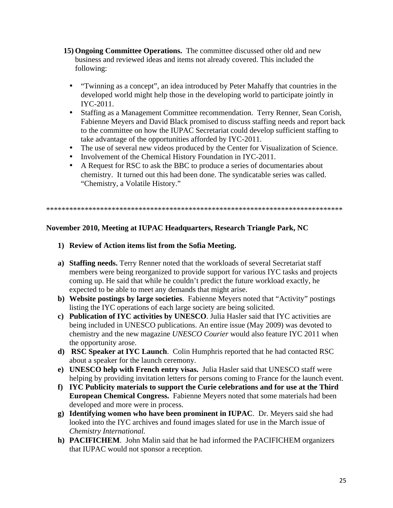- **15) Ongoing Committee Operations.** The committee discussed other old and new business and reviewed ideas and items not already covered. This included the following:
	- "Twinning as a concept", an idea introduced by Peter Mahaffy that countries in the developed world might help those in the developing world to participate jointly in IYC-2011.
	- Staffing as a Management Committee recommendation. Terry Renner, Sean Corish, Fabienne Meyers and David Black promised to discuss staffing needs and report back to the committee on how the IUPAC Secretariat could develop sufficient staffing to take advantage of the opportunities afforded by IYC-2011.
	- The use of several new videos produced by the Center for Visualization of Science.
	- Involvement of the Chemical History Foundation in IYC-2011.
	- A Request for RSC to ask the BBC to produce a series of documentaries about chemistry. It turned out this had been done. The syndicatable series was called. "Chemistry, a Volatile History."

\*\*\*\*\*\*\*\*\*\*\*\*\*\*\*\*\*\*\*\*\*\*\*\*\*\*\*\*\*\*\*\*\*\*\*\*\*\*\*\*\*\*\*\*\*\*\*\*\*\*\*\*\*\*\*\*\*\*\*\*\*\*\*\*\*\*\*\*\*\*\*\*\*\*\*\*\*

### **November 2010, Meeting at IUPAC Headquarters, Research Triangle Park, NC**

#### **1) Review of Action items list from the Sofia Meeting.**

- **a) Staffing needs.** Terry Renner noted that the workloads of several Secretariat staff members were being reorganized to provide support for various IYC tasks and projects coming up. He said that while he couldn't predict the future workload exactly, he expected to be able to meet any demands that might arise.
- **b) Website postings by large societies**. Fabienne Meyers noted that "Activity" postings listing the IYC operations of each large society are being solicited.
- **c) Publication of IYC activities by UNESCO**. Julia Hasler said that IYC activities are being included in UNESCO publications. An entire issue (May 2009) was devoted to chemistry and the new magazine *UNESCO Courier* would also feature IYC 2011 when the opportunity arose.
- **d) RSC Speaker at IYC Launch**. Colin Humphris reported that he had contacted RSC about a speaker for the launch ceremony.
- **e) UNESCO help with French entry visas.** Julia Hasler said that UNESCO staff were helping by providing invitation letters for persons coming to France for the launch event.
- **f) IYC Publicity materials to support the Curie celebrations and for use at the Third European Chemical Congress.** Fabienne Meyers noted that some materials had been developed and more were in process.
- **g) Identifying women who have been prominent in IUPAC**. Dr. Meyers said she had looked into the IYC archives and found images slated for use in the March issue of *Chemistry International.*
- **h) PACIFICHEM**. John Malin said that he had informed the PACIFICHEM organizers that IUPAC would not sponsor a reception.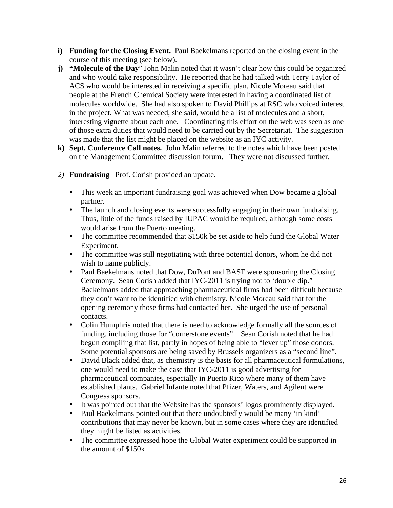- **i) Funding for the Closing Event.** Paul Baekelmans reported on the closing event in the course of this meeting (see below).
- **j) "Molecule of the Day**" John Malin noted that it wasn't clear how this could be organized and who would take responsibility. He reported that he had talked with Terry Taylor of ACS who would be interested in receiving a specific plan. Nicole Moreau said that people at the French Chemical Society were interested in having a coordinated list of molecules worldwide. She had also spoken to David Phillips at RSC who voiced interest in the project. What was needed, she said, would be a list of molecules and a short, interesting vignette about each one. Coordinating this effort on the web was seen as one of those extra duties that would need to be carried out by the Secretariat. The suggestion was made that the list might be placed on the website as an IYC activity.
- **k) Sept. Conference Call notes.** John Malin referred to the notes which have been posted on the Management Committee discussion forum. They were not discussed further.
- *2)* **Fundraising** Prof. Corish provided an update.
	- This week an important fundraising goal was achieved when Dow became a global partner.
	- The launch and closing events were successfully engaging in their own fundraising. Thus, little of the funds raised by IUPAC would be required, although some costs would arise from the Puerto meeting.
	- The committee recommended that \$150k be set aside to help fund the Global Water Experiment.
	- The committee was still negotiating with three potential donors, whom he did not wish to name publicly.
	- Paul Baekelmans noted that Dow, DuPont and BASF were sponsoring the Closing Ceremony. Sean Corish added that IYC-2011 is trying not to 'double dip." Baekelmans added that approaching pharmaceutical firms had been difficult because they don't want to be identified with chemistry. Nicole Moreau said that for the opening ceremony those firms had contacted her. She urged the use of personal contacts.
	- Colin Humphris noted that there is need to acknowledge formally all the sources of funding, including those for "cornerstone events". Sean Corish noted that he had begun compiling that list, partly in hopes of being able to "lever up" those donors. Some potential sponsors are being saved by Brussels organizers as a "second line".
	- David Black added that, as chemistry is the basis for all pharmaceutical formulations, one would need to make the case that IYC-2011 is good advertising for pharmaceutical companies, especially in Puerto Rico where many of them have established plants. Gabriel Infante noted that Pfizer, Waters, and Agilent were Congress sponsors.
	- It was pointed out that the Website has the sponsors' logos prominently displayed.
	- Paul Baekelmans pointed out that there undoubtedly would be many 'in kind' contributions that may never be known, but in some cases where they are identified they might be listed as activities.
	- The committee expressed hope the Global Water experiment could be supported in the amount of \$150k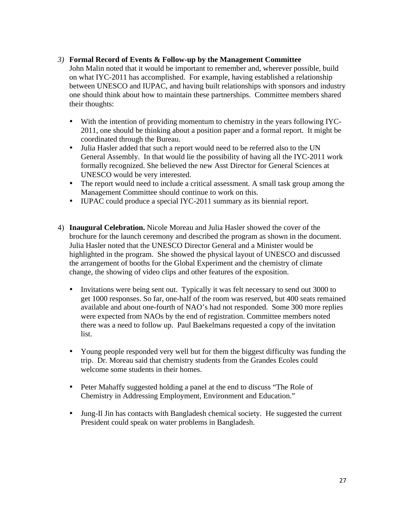#### *3)* **Formal Record of Events & Follow-up by the Management Committee**

John Malin noted that it would be important to remember and, wherever possible, build on what IYC-2011 has accomplished. For example, having established a relationship between UNESCO and IUPAC, and having built relationships with sponsors and industry one should think about how to maintain these partnerships. Committee members shared their thoughts:

- With the intention of providing momentum to chemistry in the years following IYC-2011, one should be thinking about a position paper and a formal report. It might be coordinated through the Bureau.
- Julia Hasler added that such a report would need to be referred also to the UN General Assembly. In that would lie the possibility of having all the IYC-2011 work formally recognized. She believed the new Asst Director for General Sciences at UNESCO would be very interested.
- The report would need to include a critical assessment. A small task group among the Management Committee should continue to work on this.
- IUPAC could produce a special IYC-2011 summary as its biennial report.
- 4) **Inaugural Celebration.** Nicole Moreau and Julia Hasler showed the cover of the brochure for the launch ceremony and described the program as shown in the document. Julia Hasler noted that the UNESCO Director General and a Minister would be highlighted in the program. She showed the physical layout of UNESCO and discussed the arrangement of booths for the Global Experiment and the chemistry of climate change, the showing of video clips and other features of the exposition.
	- Invitations were being sent out. Typically it was felt necessary to send out 3000 to get 1000 responses. So far, one-half of the room was reserved, but 400 seats remained available and about one-fourth of NAO's had not responded. Some 300 more replies were expected from NAOs by the end of registration. Committee members noted there was a need to follow up. Paul Baekelmans requested a copy of the invitation list.
	- Young people responded very well but for them the biggest difficulty was funding the trip. Dr. Moreau said that chemistry students from the Grandes Ecoles could welcome some students in their homes.
	- Peter Mahaffy suggested holding a panel at the end to discuss "The Role of Chemistry in Addressing Employment, Environment and Education."
	- Jung-Il Jin has contacts with Bangladesh chemical society. He suggested the current President could speak on water problems in Bangladesh.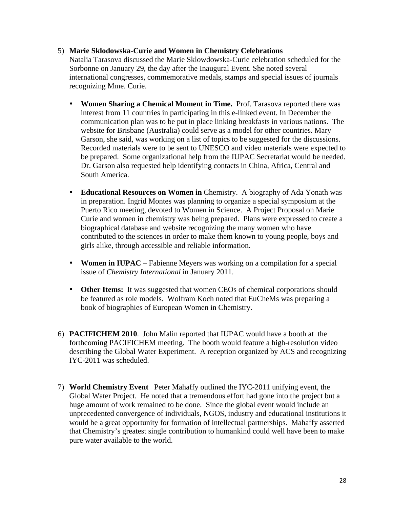#### 5) **Marie Sklodowska-Curie and Women in Chemistry Celebrations**

Natalia Tarasova discussed the Marie Sklowdowska-Curie celebration scheduled for the Sorbonne on January 29, the day after the Inaugural Event. She noted several international congresses, commemorative medals, stamps and special issues of journals recognizing Mme. Curie.

- **Women Sharing a Chemical Moment in Time.** Prof. Tarasova reported there was interest from 11 countries in participating in this e-linked event. In December the communication plan was to be put in place linking breakfasts in various nations. The website for Brisbane (Australia) could serve as a model for other countries. Mary Garson, she said, was working on a list of topics to be suggested for the discussions. Recorded materials were to be sent to UNESCO and video materials were expected to be prepared. Some organizational help from the IUPAC Secretariat would be needed. Dr. Garson also requested help identifying contacts in China, Africa, Central and South America.
- **Educational Resources on Women in** Chemistry. A biography of Ada Yonath was in preparation. Ingrid Montes was planning to organize a special symposium at the Puerto Rico meeting, devoted to Women in Science. A Project Proposal on Marie Curie and women in chemistry was being prepared. Plans were expressed to create a biographical database and website recognizing the many women who have contributed to the sciences in order to make them known to young people, boys and girls alike, through accessible and reliable information.
- **Women in IUPAC** Fabienne Meyers was working on a compilation for a special issue of *Chemistry International* in January 2011.
- **Other Items:** It was suggested that women CEOs of chemical corporations should be featured as role models. Wolfram Koch noted that EuCheMs was preparing a book of biographies of European Women in Chemistry.
- 6) **PACIFICHEM 2010**. John Malin reported that IUPAC would have a booth at the forthcoming PACIFICHEM meeting. The booth would feature a high-resolution video describing the Global Water Experiment. A reception organized by ACS and recognizing IYC-2011 was scheduled.
- 7) **World Chemistry Event** Peter Mahaffy outlined the IYC-2011 unifying event, the Global Water Project. He noted that a tremendous effort had gone into the project but a huge amount of work remained to be done. Since the global event would include an unprecedented convergence of individuals, NGOS, industry and educational institutions it would be a great opportunity for formation of intellectual partnerships. Mahaffy asserted that Chemistry's greatest single contribution to humankind could well have been to make pure water available to the world.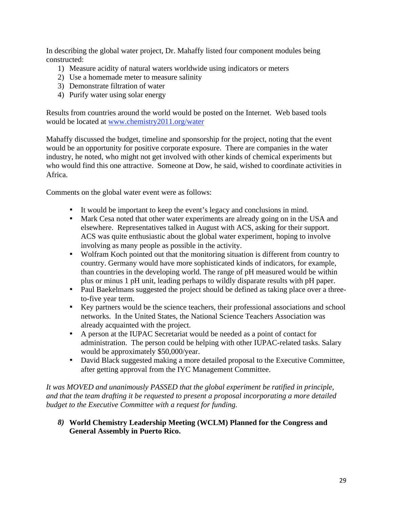In describing the global water project, Dr. Mahaffy listed four component modules being constructed:

- 1) Measure acidity of natural waters worldwide using indicators or meters
- 2) Use a homemade meter to measure salinity
- 3) Demonstrate filtration of water
- 4) Purify water using solar energy

Results from countries around the world would be posted on the Internet. Web based tools would be located at www.chemistry2011.org/water

Mahaffy discussed the budget, timeline and sponsorship for the project, noting that the event would be an opportunity for positive corporate exposure. There are companies in the water industry, he noted, who might not get involved with other kinds of chemical experiments but who would find this one attractive. Someone at Dow, he said, wished to coordinate activities in Africa.

Comments on the global water event were as follows:

- It would be important to keep the event's legacy and conclusions in mind.
- Mark Cesa noted that other water experiments are already going on in the USA and elsewhere. Representatives talked in August with ACS, asking for their support. ACS was quite enthusiastic about the global water experiment, hoping to involve involving as many people as possible in the activity.
- Wolfram Koch pointed out that the monitoring situation is different from country to country. Germany would have more sophisticated kinds of indicators, for example, than countries in the developing world. The range of pH measured would be within plus or minus 1 pH unit, leading perhaps to wildly disparate results with pH paper.
- Paul Baekelmans suggested the project should be defined as taking place over a threeto-five year term.
- Key partners would be the science teachers, their professional associations and school networks. In the United States, the National Science Teachers Association was already acquainted with the project.
- A person at the IUPAC Secretariat would be needed as a point of contact for administration. The person could be helping with other IUPAC-related tasks. Salary would be approximately \$50,000/year.
- David Black suggested making a more detailed proposal to the Executive Committee, after getting approval from the IYC Management Committee.

*It was MOVED and unanimously PASSED that the global experiment be ratified in principle, and that the team drafting it be requested to present a proposal incorporating a more detailed budget to the Executive Committee with a request for funding.* 

*8)* **World Chemistry Leadership Meeting (WCLM) Planned for the Congress and General Assembly in Puerto Rico.**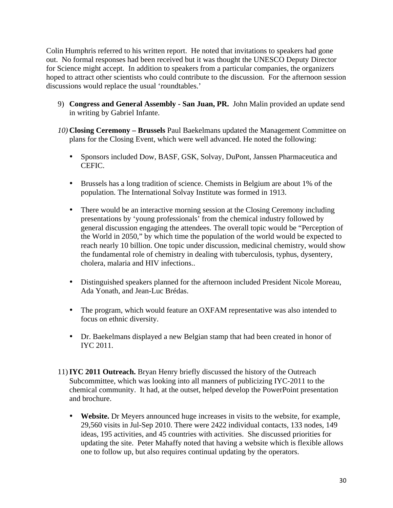Colin Humphris referred to his written report. He noted that invitations to speakers had gone out. No formal responses had been received but it was thought the UNESCO Deputy Director for Science might accept. In addition to speakers from a particular companies, the organizers hoped to attract other scientists who could contribute to the discussion. For the afternoon session discussions would replace the usual 'roundtables.'

- 9) **Congress and General Assembly San Juan, PR.** John Malin provided an update send in writing by Gabriel Infante.
- *10)* **Closing Ceremony Brussels** Paul Baekelmans updated the Management Committee on plans for the Closing Event, which were well advanced. He noted the following:
	- Sponsors included Dow, BASF, GSK, Solvay, DuPont, Janssen Pharmaceutica and CEFIC.
	- Brussels has a long tradition of science. Chemists in Belgium are about 1% of the population. The International Solvay Institute was formed in 1913.
	- There would be an interactive morning session at the Closing Ceremony including presentations by 'young professionals' from the chemical industry followed by general discussion engaging the attendees. The overall topic would be "Perception of the World in 2050," by which time the population of the world would be expected to reach nearly 10 billion. One topic under discussion, medicinal chemistry, would show the fundamental role of chemistry in dealing with tuberculosis, typhus, dysentery, cholera, malaria and HIV infections..
	- Distinguished speakers planned for the afternoon included President Nicole Moreau, Ada Yonath, and Jean-Luc Brédas.
	- The program, which would feature an OXFAM representative was also intended to focus on ethnic diversity.
	- Dr. Baekelmans displayed a new Belgian stamp that had been created in honor of IYC 2011.
- 11)**IYC 2011 Outreach.** Bryan Henry briefly discussed the history of the Outreach Subcommittee, which was looking into all manners of publicizing IYC-2011 to the chemical community. It had, at the outset, helped develop the PowerPoint presentation and brochure.
	- **Website.** Dr Meyers announced huge increases in visits to the website, for example, 29,560 visits in Jul-Sep 2010. There were 2422 individual contacts, 133 nodes, 149 ideas, 195 activities, and 45 countries with activities. She discussed priorities for updating the site. Peter Mahaffy noted that having a website which is flexible allows one to follow up, but also requires continual updating by the operators.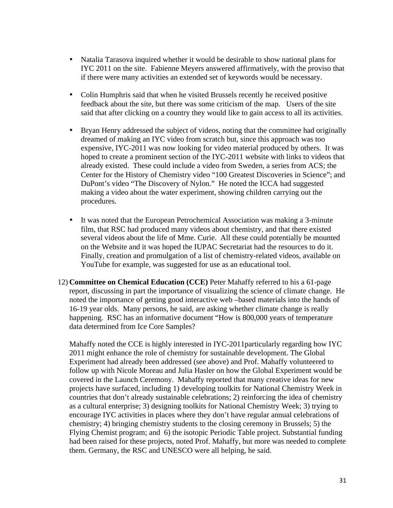- Natalia Tarasova inquired whether it would be desirable to show national plans for IYC 2011 on the site. Fabienne Meyers answered affirmatively, with the proviso that if there were many activities an extended set of keywords would be necessary.
- Colin Humphris said that when he visited Brussels recently he received positive feedback about the site, but there was some criticism of the map. Users of the site said that after clicking on a country they would like to gain access to all its activities.
- Bryan Henry addressed the subject of videos, noting that the committee had originally dreamed of making an IYC video from scratch but, since this approach was too expensive, IYC-2011 was now looking for video material produced by others. It was hoped to create a prominent section of the IYC-2011 website with links to videos that already existed. These could include a video from Sweden, a series from ACS; the Center for the History of Chemistry video "100 Greatest Discoveries in Science"; and DuPont's video "The Discovery of Nylon." He noted the ICCA had suggested making a video about the water experiment, showing children carrying out the procedures.
- It was noted that the European Petrochemical Association was making a 3-minute film, that RSC had produced many videos about chemistry, and that there existed several videos about the life of Mme. Curie. All these could potentially be mounted on the Website and it was hoped the IUPAC Secretariat had the resources to do it. Finally, creation and promulgation of a list of chemistry-related videos, available on YouTube for example, was suggested for use as an educational tool.
- 12) **Committee on Chemical Education (CCE)** Peter Mahaffy referred to his a 61-page report, discussing in part the importance of visualizing the science of climate change. He noted the importance of getting good interactive web –based materials into the hands of 16-19 year olds. Many persons, he said, are asking whether climate change is really happening. RSC has an informative document "How is 800,000 years of temperature data determined from Ice Core Samples?

Mahaffy noted the CCE is highly interested in IYC-2011particularly regarding how IYC 2011 might enhance the role of chemistry for sustainable development. The Global Experiment had already been addressed (see above) and Prof. Mahaffy volunteered to follow up with Nicole Moreau and Julia Hasler on how the Global Experiment would be covered in the Launch Ceremony. Mahaffy reported that many creative ideas for new projects have surfaced, including 1) developing toolkits for National Chemistry Week in countries that don't already sustainable celebrations; 2) reinforcing the idea of chemistry as a cultural enterprise; 3) designing toolkits for National Chemistry Week; 3) trying to encourage IYC activities in places where they don't have regular annual celebrations of chemistry; 4) bringing chemistry students to the closing ceremony in Brussels; 5) the Flying Chemist program; and 6) the isotopic Periodic Table project. Substantial funding had been raised for these projects, noted Prof. Mahaffy, but more was needed to complete them. Germany, the RSC and UNESCO were all helping, he said.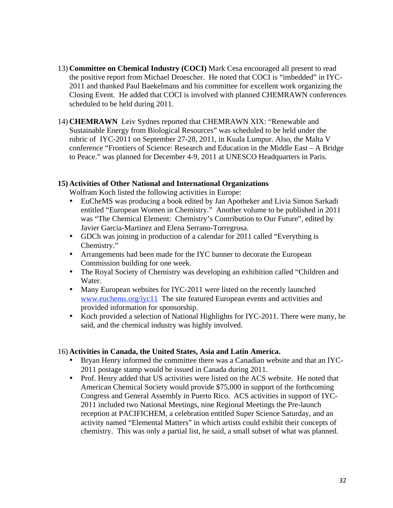- 13) **Committee on Chemical Industry (COCI)** Mark Cesa encouraged all present to read the positive report from Michael Droescher. He noted that COCI is "imbedded" in IYC-2011 and thanked Paul Baekelmans and his committee for excellent work organizing the Closing Event. He added that COCI is involved with planned CHEMRAWN conferences scheduled to be held during 2011.
- 14) **CHEMRAWN** Leiv Sydnes reported that CHEMRAWN XIX: "Renewable and Sustainable Energy from Biological Resources" was scheduled to be held under the rubric of IYC-2011 on September 27-28, 2011, in Kuala Lumpur. Also, the Malta V conference "Frontiers of Science: Research and Education in the Middle East – A Bridge to Peace." was planned for December 4-9, 2011 at UNESCO Headquarters in Paris.

#### **15) Activities of Other National and International Organizations**

Wolfram Koch listed the following activities in Europe:

- EuCheMS was producing a book edited by Jan Apotheker and Livia Simon Sarkadi entitled "European Women in Chemistry." Another volume to be published in 2011 was "The Chemical Element: Chemistry's Contribution to Our Future", edited by Javier Garcia-Martinez and Elena Serrano-Torregrosa.
- GDCh was joining in production of a calendar for 2011 called "Everything is Chemistry."
- Arrangements had been made for the IYC banner to decorate the European Commission building for one week.
- The Royal Society of Chemistry was developing an exhibition called "Children and Water.
- Many European websites for IYC-2011 were listed on the recently launched www.euchems.org/iyc11 The site featured European events and activities and provided information for sponsorship.
- Koch provided a selection of National Highlights for IYC-2011. There were many, he said, and the chemical industry was highly involved.

#### 16) **Activities in Canada, the United States, Asia and Latin America.**

- Bryan Henry informed the committee there was a Canadian website and that an IYC-2011 postage stamp would be issued in Canada during 2011.
- Prof. Henry added that US activities were listed on the ACS website. He noted that American Chemical Society would provide \$75,000 in support of the forthcoming Congress and General Assembly in Puerto Rico. ACS activities in support of IYC-2011 included two National Meetings, nine Regional Meetings the Pre-launch reception at PACIFICHEM, a celebration entitled Super Science Saturday, and an activity named "Elemental Matters" in which artists could exhibit their concepts of chemistry. This was only a partial list, he said, a small subset of what was planned.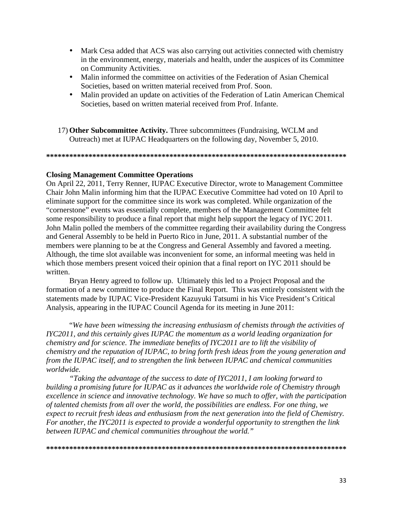- Mark Cesa added that ACS was also carrying out activities connected with chemistry in the environment, energy, materials and health, under the auspices of its Committee on Community Activities.
- Malin informed the committee on activities of the Federation of Asian Chemical Societies, based on written material received from Prof. Soon.
- Malin provided an update on activities of the Federation of Latin American Chemical Societies, based on written material received from Prof. Infante.
- 17) **Other Subcommittee Activity.** Three subcommittees (Fundraising, WCLM and Outreach) met at IUPAC Headquarters on the following day, November 5, 2010.

**\*\*\*\*\*\*\*\*\*\*\*\*\*\*\*\*\*\*\*\*\*\*\*\*\*\*\*\*\*\*\*\*\*\*\*\*\*\*\*\*\*\*\*\*\*\*\*\*\*\*\*\*\*\*\*\*\*\*\*\*\*\*\*\*\*\*\*\*\*\*\*\*\*\*\*\*\*\*** 

#### **Closing Management Committee Operations**

On April 22, 2011, Terry Renner, IUPAC Executive Director, wrote to Management Committee Chair John Malin informing him that the IUPAC Executive Committee had voted on 10 April to eliminate support for the committee since its work was completed. While organization of the "cornerstone" events was essentially complete, members of the Management Committee felt some responsibility to produce a final report that might help support the legacy of IYC 2011. John Malin polled the members of the committee regarding their availability during the Congress and General Assembly to be held in Puerto Rico in June, 2011. A substantial number of the members were planning to be at the Congress and General Assembly and favored a meeting. Although, the time slot available was inconvenient for some, an informal meeting was held in which those members present voiced their opinion that a final report on IYC 2011 should be written.

Bryan Henry agreed to follow up. Ultimately this led to a Project Proposal and the formation of a new committee to produce the Final Report. This was entirely consistent with the statements made by IUPAC Vice-President Kazuyuki Tatsumi in his Vice President's Critical Analysis, appearing in the IUPAC Council Agenda for its meeting in June 2011:

"*We have been witnessing the increasing enthusiasm of chemists through the activities of IYC2011, and this certainly gives IUPAC the momentum as a world leading organization for chemistry and for science. The immediate benefits of IYC2011 are to lift the visibility of chemistry and the reputation of IUPAC, to bring forth fresh ideas from the young generation and from the IUPAC itself, and to strengthen the link between IUPAC and chemical communities worldwide.* 

*"Taking the advantage of the success to date of IYC2011, I am looking forward to building a promising future for IUPAC as it advances the worldwide role of Chemistry through excellence in science and innovative technology. We have so much to offer, with the participation of talented chemists from all over the world, the possibilities are endless. For one thing, we expect to recruit fresh ideas and enthusiasm from the next generation into the field of Chemistry. For another, the IYC2011 is expected to provide a wonderful opportunity to strengthen the link between IUPAC and chemical communities throughout the world."* 

**\*\*\*\*\*\*\*\*\*\*\*\*\*\*\*\*\*\*\*\*\*\*\*\*\*\*\*\*\*\*\*\*\*\*\*\*\*\*\*\*\*\*\*\*\*\*\*\*\*\*\*\*\*\*\*\*\*\*\*\*\*\*\*\*\*\*\*\*\*\*\*\*\*\*\*\*\*\***